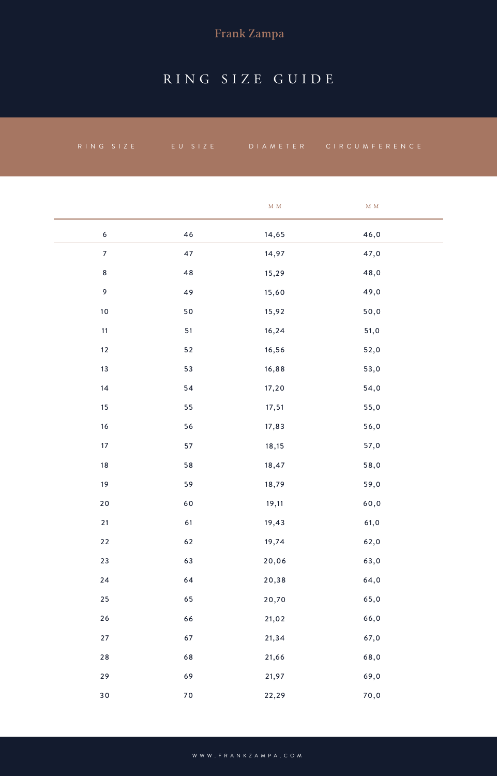# Frank Zampa

# RING SIZE GUIDE

| $R IN G S I Z E$ | EU SIZE |                 | DIAMETER CIRCUMFERENCE        |
|------------------|---------|-----------------|-------------------------------|
|                  |         |                 |                               |
|                  |         |                 |                               |
|                  |         | $\mathbf M\,$ M | $\mathbf M$ $\mathbf M$       |
| $\boldsymbol{6}$ | 46      | 14,65           | 46,0                          |
| $\overline{7}$   | 47      | 14,97           | 47,0                          |
| $\bf 8$          | $4\,8$  | 15,29           | 48,0                          |
| $\mathsf 9$      | 49      | 15,60           | 49,0                          |
| 10               | 50      | 15,92           | 50,0                          |
| 11               | 51      | 16,24           | $51,0$                        |
| 12               | $52\,$  | 16,56           | 52,0                          |
| 13               | 53      | 16,88           | 53,0                          |
| 14               | 54      | 17,20           | 54,0                          |
| 15               | 55      | 17,51           | 55,0                          |
| 16               | 56      | 17,83           | 56,0                          |
| $17\,$           | 57      | 18,15           | 57,0                          |
| $18\,$           | 58      | 18,47           | 58,0                          |
| 19               | 59      | 18,79           | 59,0                          |
| $20$             | 60      | 19,11           | $\mathfrak{60}, \mathfrak{0}$ |
| $21$             | 61      | 19,43           | 61,0                          |
| $22$             | 62      | 19,74           | 62,0                          |
| 23               | 63      | 20,06           | 63,0                          |
| 24               | 64      | 20,38           | 64,0                          |
| $25\,$           | 65      | 20,70           | 65,0                          |
| $26\,$           | 66      | 21,02           | 66,0                          |
| 27               | 67      | 21,34           | 67,0                          |
| $2\,8$           | 68      | 21,66           | 68,0                          |
| 29               | 69      | 21,97           | 69,0                          |
| 30               | $70\,$  | 22,29           | 70,0                          |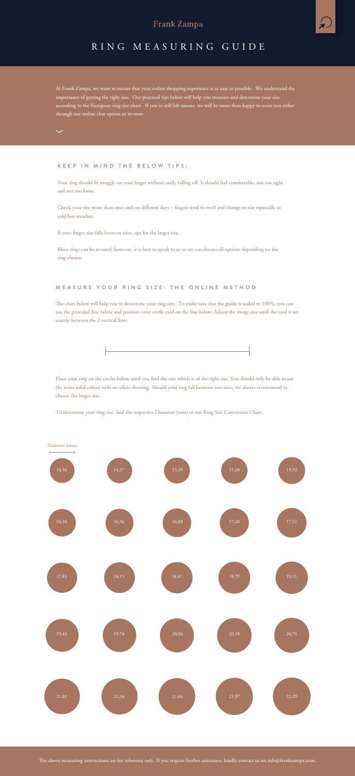At Frank Zampa, we want to ensure that your online shopping experience is as easy as possible. We understand the importance of getting the right size. Our practical tips below will help you measure and determine your size according to the European ring size chart. If you're still left unsure, we will be more than happy to assist you either through our online chat option or in-store.

The chart below will help you to determine your ring size. To make sure that the guide is scaled to 100%, you can use the provided line below and position your credit card on the line below. Adjust the image size until the card is set exactly between the 2 vertical lines.



### MEASURE YOUR RING SIZE: THE ONLINE METHOD

Place your ring on the circles below until you find the one which is of the right size. You should only be able to see the inner solid colour with no white showing. Should your ring fall between two sizes, we always recommend to choose the larger size.

To determine your ring size, find the respective Diameter (mm) in our Ring Size Conversion Chart.

Your ring should fit snuggly on your finger without easily falling off. It should feel comfortable; not too tight and not too loose.

Check your size more than once and on different days - fingers tend to swell and change in size especially in cold/hot weather.

If your finger size falls between sizes, opt for the larger size.



The above measuring instructions are for reference only. If you require further assistance, kindly contact us on info@frankzampa.com.

#### KEEP IN MIND THE BELOW TIPS:



Most rings can be re-sized; however, it is best to speak to us so we can discuss all options depending on the ring chosen.

### **Frank Zampa**



### RING MEASURING GUIDE